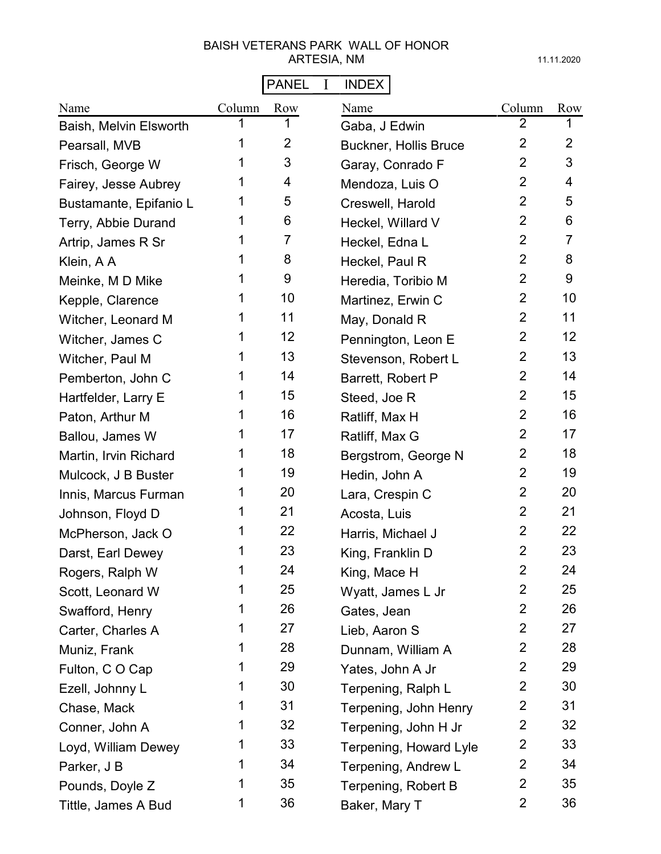# PANEL I INDEX

| Name                   | Column | Row            | Name                         | Column         | Row             |
|------------------------|--------|----------------|------------------------------|----------------|-----------------|
| Baish, Melvin Elsworth | 1      | 1              | Gaba, J Edwin                | $\overline{2}$ | 1               |
| Pearsall, MVB          | 1      | $\overline{2}$ | <b>Buckner, Hollis Bruce</b> | $\overline{2}$ | $\overline{2}$  |
| Frisch, George W       | 1      | 3              | Garay, Conrado F             | $\overline{2}$ | 3               |
| Fairey, Jesse Aubrey   | 1      | 4              | Mendoza, Luis O              | $\overline{2}$ | 4               |
| Bustamante, Epifanio L | 1      | 5              | Creswell, Harold             | $\overline{2}$ | 5               |
| Terry, Abbie Durand    | 1      | 6              | Heckel, Willard V            | $\overline{2}$ | 6               |
| Artrip, James R Sr     | 1      | 7              | Heckel, Edna L               | $\overline{2}$ | $\overline{7}$  |
| Klein, A A             | 1      | 8              | Heckel, Paul R               | $\overline{2}$ | 8               |
| Meinke, M D Mike       | 1      | 9              | Heredia, Toribio M           | $\overline{2}$ | 9               |
| Kepple, Clarence       | 1      | 10             | Martinez, Erwin C            | $\overline{2}$ | 10              |
| Witcher, Leonard M     | 1      | 11             | May, Donald R                | $\overline{2}$ | 11              |
| Witcher, James C       | 1      | 12             | Pennington, Leon E           | $\overline{2}$ | 12 <sup>2</sup> |
| Witcher, Paul M        | 1      | 13             | Stevenson, Robert L          | $\overline{2}$ | 13              |
| Pemberton, John C      | 1      | 14             | Barrett, Robert P            | $\overline{2}$ | 14              |
| Hartfelder, Larry E    | 1      | 15             | Steed, Joe R                 | $\overline{2}$ | 15              |
| Paton, Arthur M        | 1      | 16             | Ratliff, Max H               | $\overline{2}$ | 16              |
| Ballou, James W        | 1      | 17             | Ratliff, Max G               | $\overline{2}$ | 17              |
| Martin, Irvin Richard  | 1      | 18             | Bergstrom, George N          | $\overline{2}$ | 18              |
| Mulcock, J B Buster    | 1      | 19             | Hedin, John A                | $\overline{2}$ | 19              |
| Innis, Marcus Furman   | 1      | 20             | Lara, Crespin C              | $\overline{2}$ | 20              |
| Johnson, Floyd D       | 1      | 21             | Acosta, Luis                 | $\overline{2}$ | 21              |
| McPherson, Jack O      | 1      | 22             | Harris, Michael J            | $\overline{2}$ | 22              |
| Darst, Earl Dewey      | 1      | 23             | King, Franklin D             | $\overline{2}$ | 23              |
| Rogers, Ralph W        | 1      | 24             | King, Mace H                 | $\overline{2}$ | 24              |
| Scott, Leonard W       | 1      | 25             | Wyatt, James L Jr            | $\overline{2}$ | 25              |
| Swafford, Henry        | 1      | 26             | Gates, Jean                  | $\overline{2}$ | 26              |
| Carter, Charles A      | 1      | 27             | Lieb, Aaron S                | $\overline{2}$ | 27              |
| Muniz, Frank           | 1      | 28             | Dunnam, William A            | $\overline{2}$ | 28              |
| Fulton, CO Cap         | 1      | 29             | Yates, John A Jr             | $\overline{2}$ | 29              |
| Ezell, Johnny L        | 1      | 30             | Terpening, Ralph L           | $\overline{2}$ | 30              |
| Chase, Mack            | 1      | 31             | Terpening, John Henry        | $\overline{2}$ | 31              |
| Conner, John A         | 1      | 32             | Terpening, John H Jr         | $\overline{2}$ | 32              |
| Loyd, William Dewey    | 1      | 33             | Terpening, Howard Lyle       | $\overline{2}$ | 33              |
| Parker, J B            | 1      | 34             | Terpening, Andrew L          | $\overline{2}$ | 34              |
| Pounds, Doyle Z        | 1      | 35             | Terpening, Robert B          | $\overline{2}$ | 35              |
| Tittle, James A Bud    | 1      | 36             | Baker, Mary T                | $\overline{2}$ | 36              |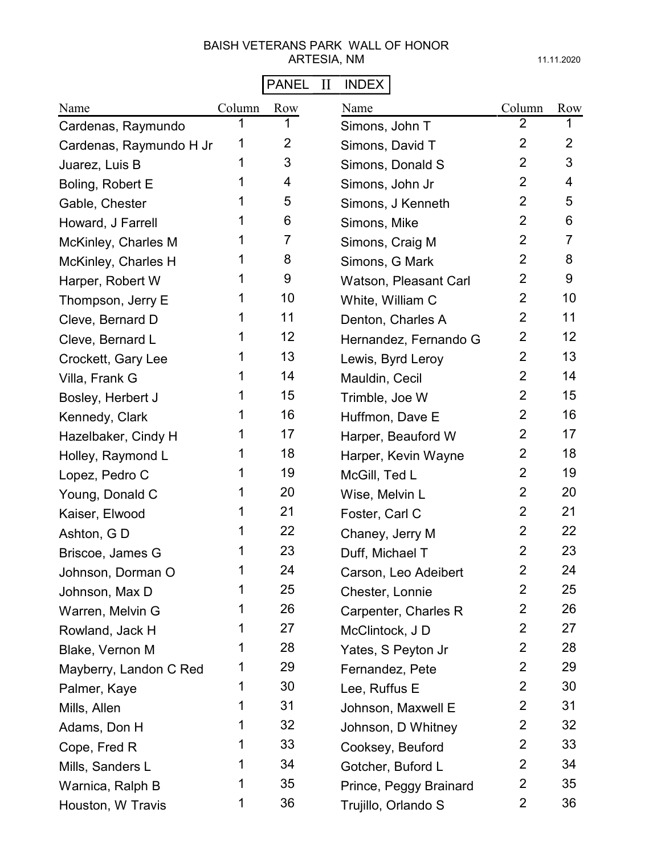# PANEL II INDEX

| Name                    | Column | Row | Name                   | Column         | Row            |
|-------------------------|--------|-----|------------------------|----------------|----------------|
| Cardenas, Raymundo      | 1      | 1   | Simons, John T         | $\overline{2}$ | 1              |
| Cardenas, Raymundo H Jr | 1      | 2   | Simons, David T        | $\overline{2}$ | $\overline{2}$ |
| Juarez, Luis B          | 1      | 3   | Simons, Donald S       | $\overline{2}$ | 3              |
| Boling, Robert E        | 1      | 4   | Simons, John Jr        | $\overline{2}$ | 4              |
| Gable, Chester          | 1      | 5   | Simons, J Kenneth      | $\overline{2}$ | 5              |
| Howard, J Farrell       | 1      | 6   | Simons, Mike           | $\overline{2}$ | 6              |
| McKinley, Charles M     | 1      | 7   | Simons, Craig M        | $\overline{2}$ | 7              |
| McKinley, Charles H     | 1      | 8   | Simons, G Mark         | $\overline{2}$ | 8              |
| Harper, Robert W        | 1      | 9   | Watson, Pleasant Carl  | $\overline{2}$ | 9              |
| Thompson, Jerry E       | 1      | 10  | White, William C       | $\overline{2}$ | 10             |
| Cleve, Bernard D        | 1      | 11  | Denton, Charles A      | $\overline{2}$ | 11             |
| Cleve, Bernard L        | 1      | 12  | Hernandez, Fernando G  | $\overline{2}$ | 12             |
| Crockett, Gary Lee      | 1      | 13  | Lewis, Byrd Leroy      | $\overline{2}$ | 13             |
| Villa, Frank G          | 1      | 14  | Mauldin, Cecil         | $\overline{2}$ | 14             |
| Bosley, Herbert J       | 1      | 15  | Trimble, Joe W         | $\overline{2}$ | 15             |
| Kennedy, Clark          | 1      | 16  | Huffmon, Dave E        | $\overline{2}$ | 16             |
| Hazelbaker, Cindy H     | 1      | 17  | Harper, Beauford W     | $\overline{2}$ | 17             |
| Holley, Raymond L       | 1      | 18  | Harper, Kevin Wayne    | $\overline{2}$ | 18             |
| Lopez, Pedro C          | 1      | 19  | McGill, Ted L          | $\overline{2}$ | 19             |
| Young, Donald C         | 1      | 20  | Wise, Melvin L         | $\overline{2}$ | 20             |
| Kaiser, Elwood          | 1      | 21  | Foster, Carl C         | $\overline{2}$ | 21             |
| Ashton, GD              | 1      | 22  | Chaney, Jerry M        | $\overline{2}$ | 22             |
| Briscoe, James G        | 1      | 23  | Duff, Michael T        | $\overline{2}$ | 23             |
| Johnson, Dorman O       | 1      | 24  | Carson, Leo Adeibert   | $\overline{2}$ | 24             |
| Johnson, Max D          | 1      | 25  | Chester, Lonnie        | 2              | 25             |
| Warren, Melvin G        | 1      | 26  | Carpenter, Charles R   | $\overline{2}$ | 26             |
| Rowland, Jack H         | 1      | 27  | McClintock, J D        | $\overline{2}$ | 27             |
| Blake, Vernon M         | 1      | 28  | Yates, S Peyton Jr     | $\overline{2}$ | 28             |
| Mayberry, Landon C Red  | 1      | 29  | Fernandez, Pete        | $\overline{2}$ | 29             |
| Palmer, Kaye            | 1      | 30  | Lee, Ruffus E          | $\overline{2}$ | 30             |
| Mills, Allen            | 1      | 31  | Johnson, Maxwell E     | $\overline{2}$ | 31             |
| Adams, Don H            | 1      | 32  | Johnson, D Whitney     | $\overline{2}$ | 32             |
| Cope, Fred R            | 1      | 33  | Cooksey, Beuford       | $\overline{2}$ | 33             |
| Mills, Sanders L        | 1      | 34  | Gotcher, Buford L      | $\overline{2}$ | 34             |
| Warnica, Ralph B        | 1      | 35  | Prince, Peggy Brainard | $\overline{2}$ | 35             |
| Houston, W Travis       | 1      | 36  | Trujillo, Orlando S    | 2              | 36             |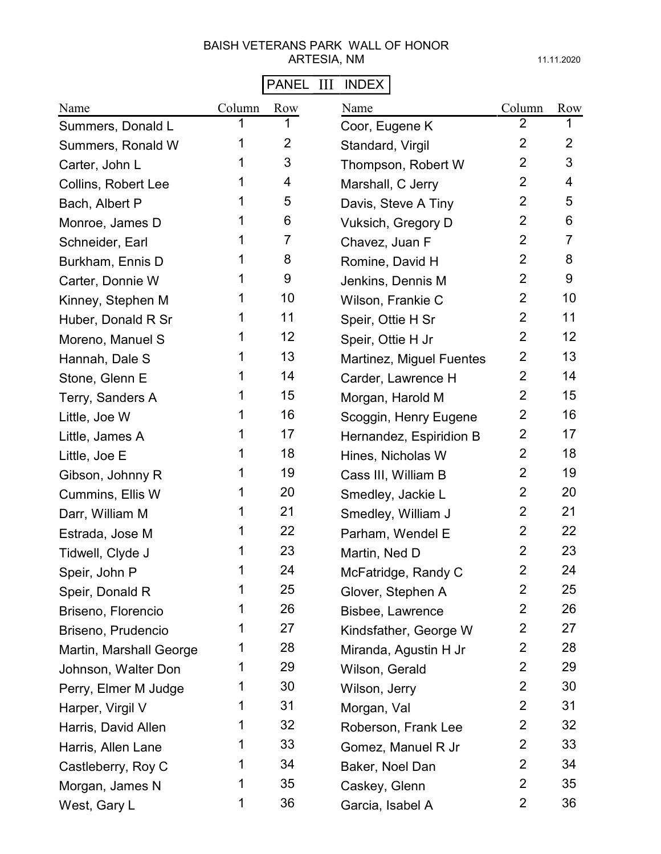# PANEL III INDEX

| Name                    | Column | Row            | Name                     | Column         | Row            |
|-------------------------|--------|----------------|--------------------------|----------------|----------------|
| Summers, Donald L       |        |                | Coor, Eugene K           | 2              | 1              |
| Summers, Ronald W       | 1      | $\overline{2}$ | Standard, Virgil         | $\overline{2}$ | $\overline{2}$ |
| Carter, John L          | 1      | 3              | Thompson, Robert W       | $\overline{2}$ | 3              |
| Collins, Robert Lee     | 1      | 4              | Marshall, C Jerry        | $\overline{2}$ | 4              |
| Bach, Albert P          | 1      | 5              | Davis, Steve A Tiny      | $\overline{2}$ | 5              |
| Monroe, James D         |        | 6              | Vuksich, Gregory D       | $\overline{2}$ | 6              |
| Schneider, Earl         | 1      | 7              | Chavez, Juan F           | $\overline{2}$ | $\overline{7}$ |
| Burkham, Ennis D        |        | 8              | Romine, David H          | $\overline{2}$ | 8              |
| Carter, Donnie W        | 1      | 9              | Jenkins, Dennis M        | $\overline{2}$ | 9              |
| Kinney, Stephen M       | 1      | 10             | Wilson, Frankie C        | $\overline{2}$ | 10             |
| Huber, Donald R Sr      | 1      | 11             | Speir, Ottie H Sr        | $\overline{2}$ | 11             |
| Moreno, Manuel S        | 1      | 12             | Speir, Ottie H Jr        | $\overline{2}$ | 12             |
| Hannah, Dale S          | 1      | 13             | Martinez, Miguel Fuentes | $\overline{2}$ | 13             |
| Stone, Glenn E          | 1      | 14             | Carder, Lawrence H       | $\overline{2}$ | 14             |
| Terry, Sanders A        | 1      | 15             | Morgan, Harold M         | $\overline{2}$ | 15             |
| Little, Joe W           |        | 16             | Scoggin, Henry Eugene    | $\overline{2}$ | 16             |
| Little, James A         | 1      | 17             | Hernandez, Espiridion B  | $\overline{2}$ | 17             |
| Little, Joe E           | 1      | 18             | Hines, Nicholas W        | $\overline{2}$ | 18             |
| Gibson, Johnny R        | 1      | 19             | Cass III, William B      | $\overline{2}$ | 19             |
| Cummins, Ellis W        | 1      | 20             | Smedley, Jackie L        | $\overline{2}$ | 20             |
| Darr, William M         | 1      | 21             | Smedley, William J       | $\overline{2}$ | 21             |
| Estrada, Jose M         | 1      | 22             | Parham, Wendel E         | $\overline{2}$ | 22             |
| Tidwell, Clyde J        | 1      | 23             | Martin, Ned D            | $\overline{2}$ | 23             |
| Speir, John P           | 1      | 24             | McFatridge, Randy C      | $\overline{2}$ | 24             |
| Speir, Donald R         | 1      | 25             | Glover, Stephen A        | $\overline{2}$ | 25             |
| Briseno, Florencio      | 1      | 26             | Bisbee, Lawrence         | $\overline{2}$ | 26             |
| Briseno, Prudencio      | 1      | 27             | Kindsfather, George W    | $\overline{2}$ | 27             |
| Martin, Marshall George | 1      | 28             | Miranda, Agustin H Jr    | $\overline{2}$ | 28             |
| Johnson, Walter Don     | 1      | 29             | Wilson, Gerald           | $\overline{2}$ | 29             |
| Perry, Elmer M Judge    | 1      | 30             | Wilson, Jerry            | $\overline{2}$ | 30             |
| Harper, Virgil V        | 1      | 31             | Morgan, Val              | $\overline{2}$ | 31             |
| Harris, David Allen     | 1      | 32             | Roberson, Frank Lee      | $\overline{2}$ | 32             |
| Harris, Allen Lane      | 1      | 33             | Gomez, Manuel R Jr       | $\overline{2}$ | 33             |
| Castleberry, Roy C      | 1      | 34             | Baker, Noel Dan          | $\overline{2}$ | 34             |
| Morgan, James N         | 1      | 35             | Caskey, Glenn            | $\overline{2}$ | 35             |
| West, Gary L            | 1      | 36             | Garcia, Isabel A         | $\overline{2}$ | 36             |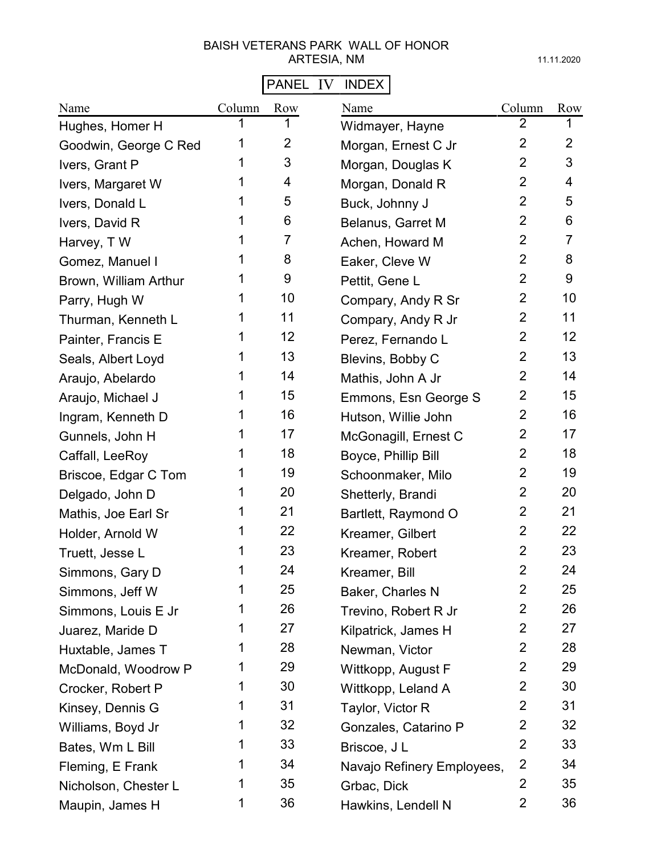# PANEL IV INDEX

| Name                  | Column | Row            | Name                       | Column         | Row            |
|-----------------------|--------|----------------|----------------------------|----------------|----------------|
| Hughes, Homer H       | 1      | 1              | Widmayer, Hayne            | $\overline{2}$ | 1              |
| Goodwin, George C Red | 1      | $\overline{2}$ | Morgan, Ernest C Jr        | $\overline{2}$ | $\overline{2}$ |
| Ivers, Grant P        | 1      | 3              | Morgan, Douglas K          | $\overline{2}$ | 3              |
| Ivers, Margaret W     | 1      | 4              | Morgan, Donald R           | $\overline{2}$ | 4              |
| Ivers, Donald L       | 1      | 5              | Buck, Johnny J             | $\overline{2}$ | 5              |
| Ivers, David R        | 1      | 6              | Belanus, Garret M          | $\overline{2}$ | 6              |
| Harvey, TW            | 1      | 7              | Achen, Howard M            | $\overline{2}$ | $\overline{7}$ |
| Gomez, Manuel I       | 1      | 8              | Eaker, Cleve W             | $\overline{2}$ | 8              |
| Brown, William Arthur | 1      | 9              | Pettit, Gene L             | $\overline{2}$ | 9              |
| Parry, Hugh W         | 1      | 10             | Compary, Andy R Sr         | $\overline{2}$ | 10             |
| Thurman, Kenneth L    | 1      | 11             | Compary, Andy R Jr         | $\overline{2}$ | 11             |
| Painter, Francis E    | 1      | 12             | Perez, Fernando L          | $\overline{2}$ | 12             |
| Seals, Albert Loyd    | 1      | 13             | Blevins, Bobby C           | $\overline{2}$ | 13             |
| Araujo, Abelardo      | 1      | 14             | Mathis, John A Jr          | $\overline{2}$ | 14             |
| Araujo, Michael J     | 1      | 15             | Emmons, Esn George S       | $\overline{2}$ | 15             |
| Ingram, Kenneth D     | 1      | 16             | Hutson, Willie John        | $\overline{2}$ | 16             |
| Gunnels, John H       | 1      | 17             | McGonagill, Ernest C       | $\overline{2}$ | 17             |
| Caffall, LeeRoy       | 1      | 18             | Boyce, Phillip Bill        | $\overline{2}$ | 18             |
| Briscoe, Edgar C Tom  | 1      | 19             | Schoonmaker, Milo          | $\overline{2}$ | 19             |
| Delgado, John D       | 1      | 20             | Shetterly, Brandi          | $\overline{2}$ | 20             |
| Mathis, Joe Earl Sr   | 1      | 21             | Bartlett, Raymond O        | $\overline{2}$ | 21             |
| Holder, Arnold W      |        | 22             | Kreamer, Gilbert           | $\overline{2}$ | 22             |
| Truett, Jesse L       | 1      | 23             | Kreamer, Robert            | $\overline{2}$ | 23             |
| Simmons, Gary D       | 1      | 24             | Kreamer, Bill              | $\overline{2}$ | 24             |
| Simmons, Jeff W       | 1      | 25             | Baker, Charles N           | $\overline{2}$ | 25             |
| Simmons, Louis E Jr   | 1      | 26             | Trevino, Robert R Jr       | $\overline{2}$ | 26             |
| Juarez, Maride D      | 1      | 27             | Kilpatrick, James H        | $\overline{2}$ | 27             |
| Huxtable, James T     | 1      | 28             | Newman, Victor             | $\overline{2}$ | 28             |
| McDonald, Woodrow P   | 1      | 29             | Wittkopp, August F         | $\overline{2}$ | 29             |
| Crocker, Robert P     | 1      | 30             | Wittkopp, Leland A         | $\overline{2}$ | 30             |
| Kinsey, Dennis G      | 1      | 31             | Taylor, Victor R           | $\overline{2}$ | 31             |
| Williams, Boyd Jr     | 1      | 32             | Gonzales, Catarino P       | $\overline{2}$ | 32             |
| Bates, Wm L Bill      | 1      | 33             | Briscoe, J L               | $\overline{2}$ | 33             |
| Fleming, E Frank      | 1      | 34             | Navajo Refinery Employees, | $\overline{2}$ | 34             |
| Nicholson, Chester L  | 1      | 35             | Grbac, Dick                | $\overline{2}$ | 35             |
| Maupin, James H       | 1      | 36             | Hawkins, Lendell N         | $\overline{2}$ | 36             |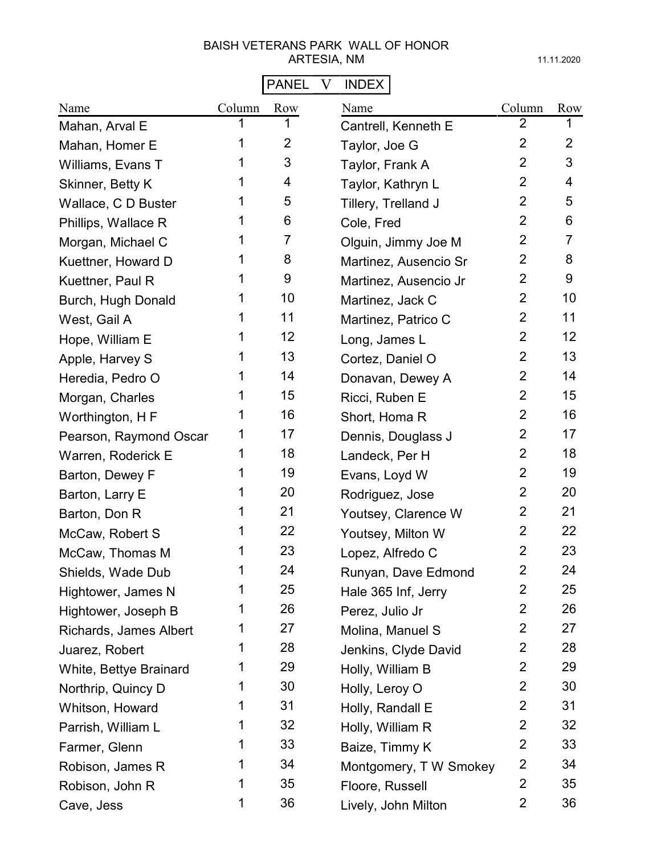# PANEL V INDEX

| Name                   | Column | Row            | Name                   | Column         | Row            |
|------------------------|--------|----------------|------------------------|----------------|----------------|
| Mahan, Arval E         | 1      | 1              | Cantrell, Kenneth E    | $\overline{2}$ | 1              |
| Mahan, Homer E         | 1      | $\overline{2}$ | Taylor, Joe G          | $\overline{2}$ | $\overline{2}$ |
| Williams, Evans T      | 1      | 3              | Taylor, Frank A        | $\overline{2}$ | 3              |
| Skinner, Betty K       | 1      | 4              | Taylor, Kathryn L      | $\overline{2}$ | 4              |
| Wallace, C D Buster    | 1      | 5              | Tillery, Trelland J    | $\overline{2}$ | 5              |
| Phillips, Wallace R    | 1      | 6              | Cole, Fred             | $\overline{2}$ | 6              |
| Morgan, Michael C      | 1      | 7              | Olguin, Jimmy Joe M    | $\overline{2}$ | $\overline{7}$ |
| Kuettner, Howard D     | 1      | 8              | Martinez, Ausencio Sr  | $\overline{2}$ | 8              |
| Kuettner, Paul R       | 1      | 9              | Martinez, Ausencio Jr  | $\overline{2}$ | 9              |
| Burch, Hugh Donald     | 1      | 10             | Martinez, Jack C       | $\overline{2}$ | 10             |
| West, Gail A           | 1      | 11             | Martinez, Patrico C    | $\overline{2}$ | 11             |
| Hope, William E        | 1      | 12             | Long, James L          | $\overline{2}$ | 12             |
| Apple, Harvey S        | 1      | 13             | Cortez, Daniel O       | $\overline{2}$ | 13             |
| Heredia, Pedro O       | 1      | 14             | Donavan, Dewey A       | $\overline{2}$ | 14             |
| Morgan, Charles        | 1      | 15             | Ricci, Ruben E         | $\overline{2}$ | 15             |
| Worthington, H F       | 1      | 16             | Short, Homa R          | $\overline{2}$ | 16             |
| Pearson, Raymond Oscar | 1      | 17             | Dennis, Douglass J     | $\overline{2}$ | 17             |
| Warren, Roderick E     | 1      | 18             | Landeck, Per H         | $\overline{2}$ | 18             |
| Barton, Dewey F        | 1      | 19             | Evans, Loyd W          | $\overline{2}$ | 19             |
| Barton, Larry E        | 1      | 20             | Rodriguez, Jose        | $\overline{2}$ | 20             |
| Barton, Don R          | 1      | 21             | Youtsey, Clarence W    | $\overline{2}$ | 21             |
| McCaw, Robert S        | 1      | 22             | Youtsey, Milton W      | $\overline{2}$ | 22             |
| McCaw, Thomas M        | 1      | 23             | Lopez, Alfredo C       | $\overline{2}$ | 23             |
| Shields, Wade Dub      | 1      | 24             | Runyan, Dave Edmond    | $\overline{2}$ | 24             |
| Hightower, James N     | 1      | 25             | Hale 365 Inf, Jerry    | $\overline{2}$ | 25             |
| Hightower, Joseph B    | 1      | 26             | Perez, Julio Jr        | $\overline{2}$ | 26             |
| Richards, James Albert | 1      | 27             | Molina, Manuel S       | $\overline{2}$ | 27             |
| Juarez, Robert         | 1      | 28             | Jenkins, Clyde David   | $\overline{2}$ | 28             |
| White, Bettye Brainard | 1      | 29             | Holly, William B       | $\overline{2}$ | 29             |
| Northrip, Quincy D     | 1      | 30             | Holly, Leroy O         | $\overline{2}$ | 30             |
| Whitson, Howard        | 1      | 31             | Holly, Randall E       | $\overline{2}$ | 31             |
| Parrish, William L     | 1      | 32             | Holly, William R       | $\overline{2}$ | 32             |
| Farmer, Glenn          | 1      | 33             | Baize, Timmy K         | $\overline{2}$ | 33             |
| Robison, James R       | 1      | 34             | Montgomery, T W Smokey | $\overline{2}$ | 34             |
| Robison, John R        | 1      | 35             | Floore, Russell        | $\overline{2}$ | 35             |
| Cave, Jess             | 1      | 36             | Lively, John Milton    | 2              | 36             |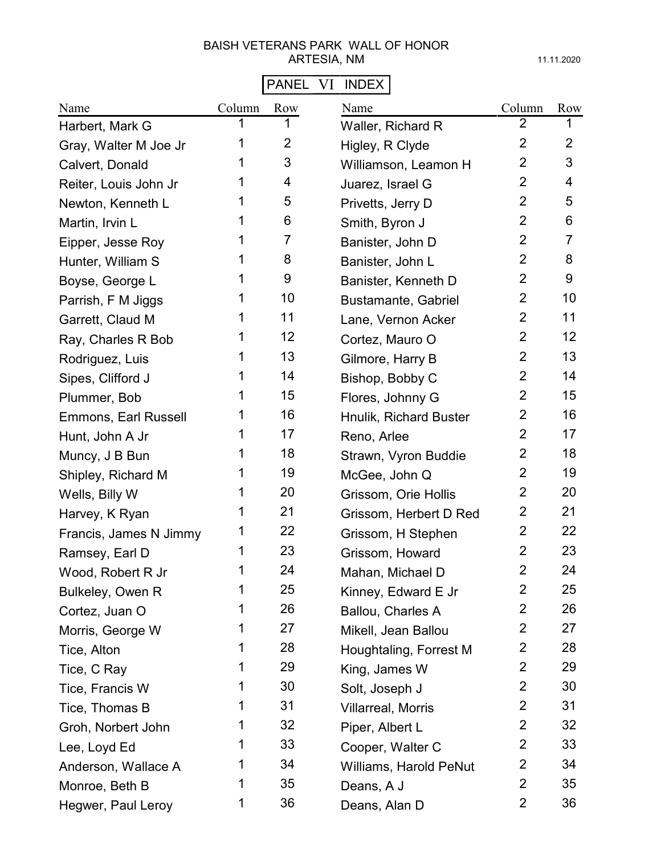# PANEL VI INDEX

| Name                        | Column | Row            | Name                      | Column         | Row            |
|-----------------------------|--------|----------------|---------------------------|----------------|----------------|
| Harbert, Mark G             |        |                | Waller, Richard R         | $\overline{2}$ |                |
| Gray, Walter M Joe Jr       | 1      | $\overline{2}$ | Higley, R Clyde           | $\overline{2}$ | $\overline{2}$ |
| Calvert, Donald             | 1      | 3              | Williamson, Leamon H      | $\overline{2}$ | 3              |
| Reiter, Louis John Jr       | 1      | 4              | Juarez, Israel G          | $\overline{2}$ | 4              |
| Newton, Kenneth L           | 1      | 5              | Privetts, Jerry D         | $\overline{2}$ | 5              |
| Martin, Irvin L             | 1      | 6              | Smith, Byron J            | $\overline{2}$ | 6              |
| Eipper, Jesse Roy           | 1      | 7              | Banister, John D          | $\overline{2}$ | $\overline{7}$ |
| Hunter, William S           |        | 8              | Banister, John L          | $\overline{2}$ | 8              |
| Boyse, George L             | 1      | 9              | Banister, Kenneth D       | $\overline{2}$ | 9              |
| Parrish, F M Jiggs          | 1      | 10             | Bustamante, Gabriel       | $\overline{2}$ | 10             |
| Garrett, Claud M            | 1      | 11             | Lane, Vernon Acker        | $\overline{2}$ | 11             |
| Ray, Charles R Bob          | 1      | 12             | Cortez, Mauro O           | $\overline{2}$ | 12             |
| Rodriguez, Luis             | 1      | 13             | Gilmore, Harry B          | $\overline{2}$ | 13             |
| Sipes, Clifford J           | 1      | 14             | Bishop, Bobby C           | $\overline{2}$ | 14             |
| Plummer, Bob                | 1      | 15             | Flores, Johnny G          | $\overline{2}$ | 15             |
| <b>Emmons, Earl Russell</b> |        | 16             | Hnulik, Richard Buster    | $\overline{2}$ | 16             |
| Hunt, John A Jr             | 1      | 17             | Reno, Arlee               | $\overline{2}$ | 17             |
| Muncy, J B Bun              | 1      | 18             | Strawn, Vyron Buddie      | $\overline{2}$ | 18             |
| Shipley, Richard M          | 1      | 19             | McGee, John Q             | $\overline{2}$ | 19             |
| Wells, Billy W              | 1      | 20             | Grissom, Orie Hollis      | $\overline{2}$ | 20             |
| Harvey, K Ryan              | 1      | 21             | Grissom, Herbert D Red    | $\overline{2}$ | 21             |
| Francis, James N Jimmy      | 1      | 22             | Grissom, H Stephen        | $\overline{2}$ | 22             |
| Ramsey, Earl D              | 1      | 23             | Grissom, Howard           | $\overline{2}$ | 23             |
| Wood, Robert R Jr           | 1      | 24             | Mahan, Michael D          | $\overline{2}$ | 24             |
| Bulkeley, Owen R            | 1      | 25             | Kinney, Edward E Jr       | $\overline{2}$ | 25             |
| Cortez, Juan O              | 1      | 26             | Ballou, Charles A         | $\overline{2}$ | 26             |
| Morris, George W            | 1      | 27             | Mikell, Jean Ballou       | $\overline{2}$ | 27             |
| Tice, Alton                 | 1      | 28             | Houghtaling, Forrest M    | $\overline{2}$ | 28             |
| Tice, C Ray                 | 1      | 29             | King, James W             | $\overline{2}$ | 29             |
| Tice, Francis W             | 1      | 30             | Solt, Joseph J            | $\overline{2}$ | 30             |
| Tice, Thomas B              | 1      | 31             | <b>Villarreal, Morris</b> | $\overline{2}$ | 31             |
| Groh, Norbert John          | 1      | 32             | Piper, Albert L           | $\overline{2}$ | 32             |
| Lee, Loyd Ed                | 1      | 33             | Cooper, Walter C          | $\overline{2}$ | 33             |
| Anderson, Wallace A         | 1      | 34             | Williams, Harold PeNut    | $\overline{2}$ | 34             |
| Monroe, Beth B              | 1      | 35             | Deans, A J                | $\overline{2}$ | 35             |
| Hegwer, Paul Leroy          | 1      | 36             | Deans, Alan D             | $\overline{2}$ | 36             |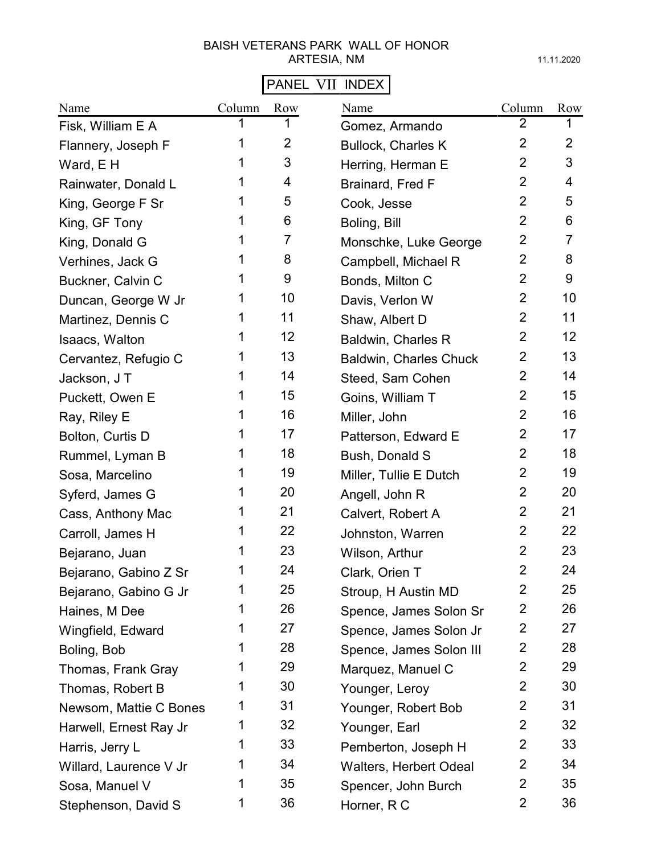# PANEL VII INDEX

| Name                   | Column | Row            | Name                          | Column         | Row            |
|------------------------|--------|----------------|-------------------------------|----------------|----------------|
| Fisk, William E A      |        |                | Gomez, Armando                | 2              |                |
| Flannery, Joseph F     |        | $\overline{2}$ | <b>Bullock, Charles K</b>     | $\overline{2}$ | $\overline{2}$ |
| Ward, E H              |        | 3              | Herring, Herman E             | $\overline{2}$ | 3              |
| Rainwater, Donald L    |        | 4              | Brainard, Fred F              | $\overline{2}$ | 4              |
| King, George F Sr      | 1      | 5              | Cook, Jesse                   | $\overline{2}$ | 5              |
| King, GF Tony          |        | 6              | Boling, Bill                  | $\overline{2}$ | 6              |
| King, Donald G         | 1      | 7              | Monschke, Luke George         | $\overline{2}$ | 7              |
| Verhines, Jack G       |        | 8              | Campbell, Michael R           | $\overline{2}$ | 8              |
| Buckner, Calvin C      |        | 9              | Bonds, Milton C               | $\overline{2}$ | 9              |
| Duncan, George W Jr    |        | 10             | Davis, Verlon W               | $\overline{2}$ | 10             |
| Martinez, Dennis C     |        | 11             | Shaw, Albert D                | $\overline{2}$ | 11             |
| Isaacs, Walton         |        | 12             | <b>Baldwin, Charles R</b>     | $\overline{2}$ | 12             |
| Cervantez, Refugio C   |        | 13             | <b>Baldwin, Charles Chuck</b> | $\overline{2}$ | 13             |
| Jackson, J T           |        | 14             | Steed, Sam Cohen              | 2              | 14             |
| Puckett, Owen E        |        | 15             | Goins, William T              | 2              | 15             |
| Ray, Riley E           |        | 16             | Miller, John                  | 2              | 16             |
| Bolton, Curtis D       | 1      | 17             | Patterson, Edward E           | 2              | 17             |
| Rummel, Lyman B        |        | 18             | Bush, Donald S                | $\overline{2}$ | 18             |
| Sosa, Marcelino        | 1      | 19             | Miller, Tullie E Dutch        | $\overline{2}$ | 19             |
| Syferd, James G        | 1      | 20             | Angell, John R                | $\overline{2}$ | 20             |
| Cass, Anthony Mac      | 1      | 21             | Calvert, Robert A             | $\overline{2}$ | 21             |
| Carroll, James H       |        | 22             | Johnston, Warren              | $\overline{2}$ | 22             |
| Bejarano, Juan         |        | 23             | Wilson, Arthur                | $\overline{2}$ | 23             |
| Bejarano, Gabino Z Sr  | 1      | 24             | Clark, Orien T                | $\overline{2}$ | 24             |
| Bejarano, Gabino G Jr  | 1      | 25             | Stroup, H Austin MD           | 2              | 25             |
| Haines, M Dee          | 1      | 26             | Spence, James Solon Sr        | $\overline{2}$ | 26             |
| Wingfield, Edward      | 1      | 27             | Spence, James Solon Jr        | $\overline{2}$ | 27             |
| Boling, Bob            | 1      | 28             | Spence, James Solon III       | $\overline{2}$ | 28             |
| Thomas, Frank Gray     | 1      | 29             | Marquez, Manuel C             | $\overline{2}$ | 29             |
| Thomas, Robert B       | 1      | 30             | Younger, Leroy                | $\overline{2}$ | 30             |
| Newsom, Mattie C Bones | 1      | 31             | Younger, Robert Bob           | $\overline{2}$ | 31             |
| Harwell, Ernest Ray Jr | 1      | 32             | Younger, Earl                 | $\overline{2}$ | 32             |
| Harris, Jerry L        | 1      | 33             | Pemberton, Joseph H           | $\overline{2}$ | 33             |
| Willard, Laurence V Jr | 1      | 34             | <b>Walters, Herbert Odeal</b> | $\overline{2}$ | 34             |
| Sosa, Manuel V         | 1      | 35             | Spencer, John Burch           | $\overline{2}$ | 35             |
| Stephenson, David S    | 1      | 36             | Horner, R C                   | $\overline{2}$ | 36             |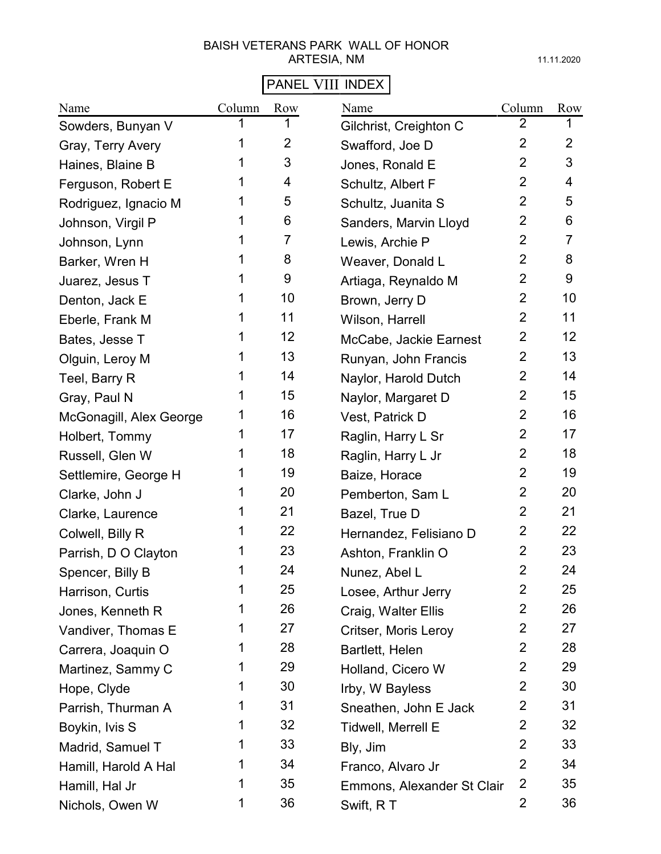# PANEL VIII INDEX

| Name                    | Column | Row            | Name                       | Column         | Row            |
|-------------------------|--------|----------------|----------------------------|----------------|----------------|
| Sowders, Bunyan V       |        |                | Gilchrist, Creighton C     | 2              |                |
| Gray, Terry Avery       | 1      | $\overline{2}$ | Swafford, Joe D            | $\overline{2}$ | $\overline{2}$ |
| Haines, Blaine B        | 1      | 3              | Jones, Ronald E            | $\overline{2}$ | 3              |
| Ferguson, Robert E      | 1      | 4              | Schultz, Albert F          | $\overline{2}$ | 4              |
| Rodriguez, Ignacio M    | 1      | 5              | Schultz, Juanita S         | $\overline{2}$ | 5              |
| Johnson, Virgil P       | 1      | 6              | Sanders, Marvin Lloyd      | $\overline{2}$ | 6              |
| Johnson, Lynn           | 1      | $\overline{7}$ | Lewis, Archie P            | $\overline{2}$ | $\overline{7}$ |
| Barker, Wren H          | 1      | 8              | Weaver, Donald L           | $\overline{2}$ | 8              |
| Juarez, Jesus T         | 1      | 9              | Artiaga, Reynaldo M        | $\overline{2}$ | 9              |
| Denton, Jack E          | 1      | 10             | Brown, Jerry D             | $\overline{2}$ | 10             |
| Eberle, Frank M         | 1      | 11             | Wilson, Harrell            | $\overline{2}$ | 11             |
| Bates, Jesse T          | 1      | 12             | McCabe, Jackie Earnest     | $\overline{2}$ | 12             |
| Olguin, Leroy M         | 1      | 13             | Runyan, John Francis       | $\overline{2}$ | 13             |
| Teel, Barry R           | 1      | 14             | Naylor, Harold Dutch       | $\overline{2}$ | 14             |
| Gray, Paul N            | 1      | 15             | Naylor, Margaret D         | 2              | 15             |
| McGonagill, Alex George | 1      | 16             | Vest, Patrick D            | $\overline{2}$ | 16             |
| Holbert, Tommy          | 1      | 17             | Raglin, Harry L Sr         | $\overline{2}$ | 17             |
| Russell, Glen W         | 1      | 18             | Raglin, Harry L Jr         | $\overline{2}$ | 18             |
| Settlemire, George H    | 1      | 19             | Baize, Horace              | $\overline{2}$ | 19             |
| Clarke, John J          | 1      | 20             | Pemberton, Sam L           | $\overline{2}$ | 20             |
| Clarke, Laurence        | 1      | 21             | Bazel, True D              | $\overline{2}$ | 21             |
| Colwell, Billy R        | 1      | 22             | Hernandez, Felisiano D     | $\overline{2}$ | 22             |
| Parrish, D O Clayton    | 1      | 23             | Ashton, Franklin O         | $\overline{2}$ | 23             |
| Spencer, Billy B        | 1      | 24             | Nunez, Abel L              | $\overline{2}$ | 24             |
| Harrison, Curtis        | 1      | 25             | Losee, Arthur Jerry        | $\overline{2}$ | 25             |
| Jones, Kenneth R        | 1      | 26             | Craig, Walter Ellis        | $\overline{2}$ | 26             |
| Vandiver, Thomas E      | 1      | 27             | Critser, Moris Leroy       | $\overline{2}$ | 27             |
| Carrera, Joaquin O      | 1      | 28             | Bartlett, Helen            | $\overline{2}$ | 28             |
| Martinez, Sammy C       | 1      | 29             | Holland, Cicero W          | $\overline{2}$ | 29             |
| Hope, Clyde             | 1      | 30             | Irby, W Bayless            | $\overline{2}$ | 30             |
| Parrish, Thurman A      | 1      | 31             | Sneathen, John E Jack      | $\overline{2}$ | 31             |
| Boykin, Ivis S          | 1      | 32             | <b>Tidwell, Merrell E</b>  | $\overline{2}$ | 32             |
| Madrid, Samuel T        | 1      | 33             | Bly, Jim                   | $\overline{2}$ | 33             |
| Hamill, Harold A Hal    | 1      | 34             | Franco, Alvaro Jr          | $\overline{2}$ | 34             |
| Hamill, Hal Jr          | 1      | 35             | Emmons, Alexander St Clair | $\overline{2}$ | 35             |
| Nichols, Owen W         | 1      | 36             | Swift, RT                  | $\overline{c}$ | 36             |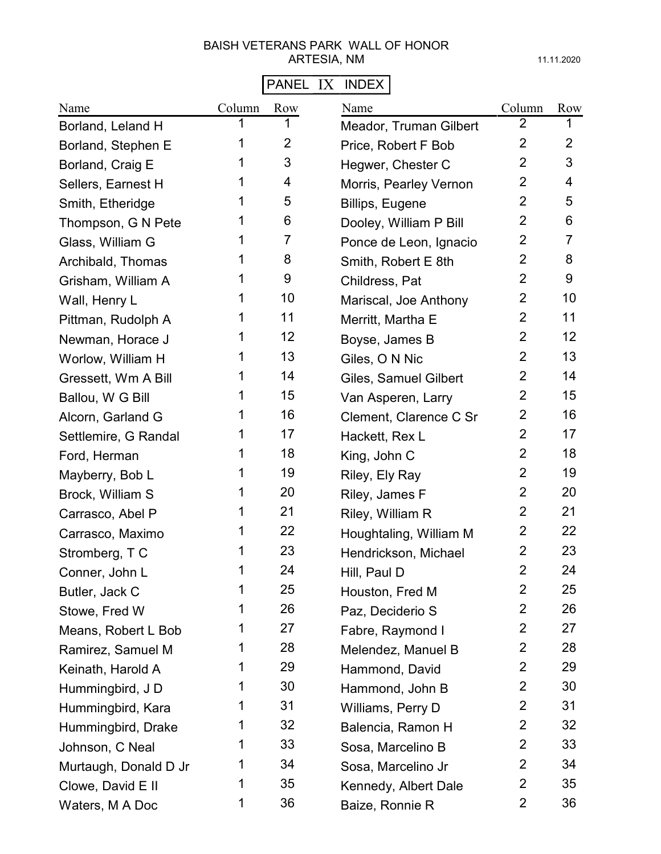# PANEL IX INDEX

| Name                  | Column | Row            | Name                   | Column         | Row             |
|-----------------------|--------|----------------|------------------------|----------------|-----------------|
| Borland, Leland H     | 1      | 1              | Meador, Truman Gilbert | 2              | 1               |
| Borland, Stephen E    | 1      | $\overline{2}$ | Price, Robert F Bob    | $\overline{2}$ | $\overline{2}$  |
| Borland, Craig E      | 1      | 3              | Hegwer, Chester C      | $\overline{2}$ | 3               |
| Sellers, Earnest H    | 1      | 4              | Morris, Pearley Vernon | $\overline{2}$ | 4               |
| Smith, Etheridge      | 1      | 5              | Billips, Eugene        | $\overline{2}$ | 5               |
| Thompson, G N Pete    |        | 6              | Dooley, William P Bill | $\overline{2}$ | 6               |
| Glass, William G      | 1      | 7              | Ponce de Leon, Ignacio | $\overline{2}$ | $\overline{7}$  |
| Archibald, Thomas     | 1      | 8              | Smith, Robert E 8th    | $\overline{2}$ | 8               |
| Grisham, William A    | 1      | 9              | Childress, Pat         | $\overline{2}$ | 9               |
| Wall, Henry L         | 1      | 10             | Mariscal, Joe Anthony  | $\overline{2}$ | 10              |
| Pittman, Rudolph A    | 1      | 11             | Merritt, Martha E      | 2              | 11              |
| Newman, Horace J      | 1      | 12             | Boyse, James B         | $\overline{2}$ | 12 <sup>2</sup> |
| Worlow, William H     | 1      | 13             | Giles, O N Nic         | $\overline{2}$ | 13              |
| Gressett, Wm A Bill   | 1      | 14             | Giles, Samuel Gilbert  | $\overline{2}$ | 14              |
| Ballou, W G Bill      | 1      | 15             | Van Asperen, Larry     | $\overline{2}$ | 15              |
| Alcorn, Garland G     | 1      | 16             | Clement, Clarence C Sr | $\overline{2}$ | 16              |
| Settlemire, G Randal  | 1      | 17             | Hackett, Rex L         | $\overline{2}$ | 17              |
| Ford, Herman          | 1      | 18             | King, John C           | $\overline{2}$ | 18              |
| Mayberry, Bob L       | 1      | 19             | Riley, Ely Ray         | $\overline{2}$ | 19              |
| Brock, William S      | 1      | 20             | Riley, James F         | $\overline{2}$ | 20              |
| Carrasco, Abel P      | 1      | 21             | Riley, William R       | $\overline{2}$ | 21              |
| Carrasco, Maximo      | 1      | 22             | Houghtaling, William M | $\overline{2}$ | 22              |
| Stromberg, T C        | 1      | 23             | Hendrickson, Michael   | $\overline{2}$ | 23              |
| Conner, John L        | 1      | 24             | Hill, Paul D           | $\overline{2}$ | 24              |
| Butler, Jack C        | 1      | 25             | Houston, Fred M        | $\overline{2}$ | 25              |
| Stowe, Fred W         | 1      | 26             | Paz, Deciderio S       | $\overline{2}$ | 26              |
| Means, Robert L Bob   | 1      | 27             | Fabre, Raymond I       | $\overline{2}$ | 27              |
| Ramirez, Samuel M     | 1      | 28             | Melendez, Manuel B     | $\overline{2}$ | 28              |
| Keinath, Harold A     | 1      | 29             | Hammond, David         | $\overline{2}$ | 29              |
| Hummingbird, JD       | 1      | 30             | Hammond, John B        | $\overline{2}$ | 30              |
| Hummingbird, Kara     | 1      | 31             | Williams, Perry D      | $\overline{2}$ | 31              |
| Hummingbird, Drake    | 1      | 32             | Balencia, Ramon H      | $\overline{2}$ | 32              |
| Johnson, C Neal       | 1      | 33             | Sosa, Marcelino B      | $\overline{2}$ | 33              |
| Murtaugh, Donald D Jr | 1      | 34             | Sosa, Marcelino Jr     | $\overline{2}$ | 34              |
| Clowe, David E II     | 1      | 35             | Kennedy, Albert Dale   | $\overline{2}$ | 35              |
| Waters, M A Doc       | 1      | 36             | Baize, Ronnie R        | $\overline{2}$ | 36              |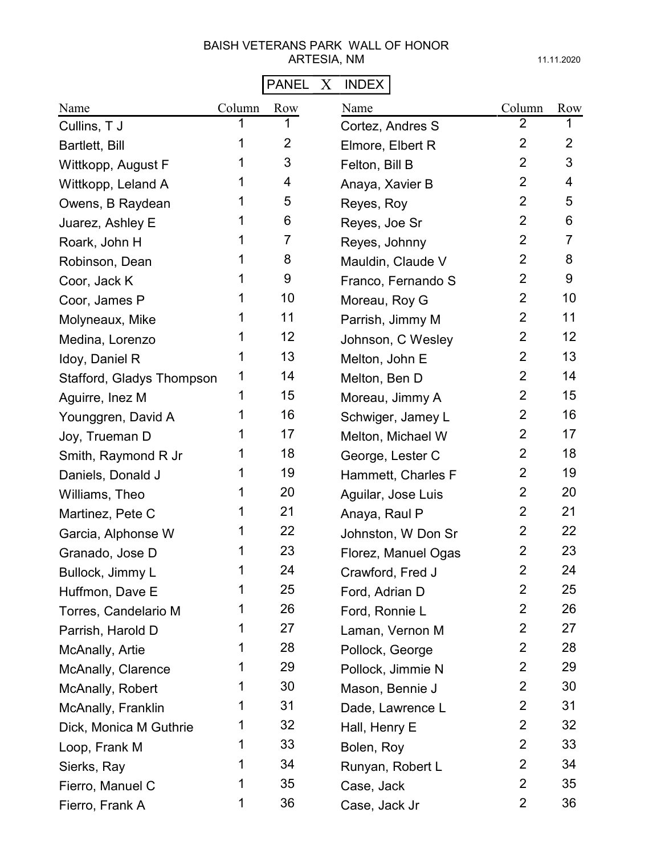# PANEL X INDEX

| Name                      | Column | Row               | Name                | Column         | Row               |
|---------------------------|--------|-------------------|---------------------|----------------|-------------------|
| Cullins, T J              | 1      | 1                 | Cortez, Andres S    | $\overline{2}$ | 1                 |
| Bartlett, Bill            | 1      | $\overline{2}$    | Elmore, Elbert R    | $\overline{2}$ | $\overline{2}$    |
| Wittkopp, August F        | 1      | 3                 | Felton, Bill B      | $\overline{2}$ | 3                 |
| Wittkopp, Leland A        | 1      | 4                 | Anaya, Xavier B     | $\overline{2}$ | 4                 |
| Owens, B Raydean          | 1      | 5                 | Reyes, Roy          | $\overline{2}$ | 5                 |
| Juarez, Ashley E          | 1      | 6                 | Reyes, Joe Sr       | $\overline{2}$ | 6                 |
| Roark, John H             | 1      | 7                 | Reyes, Johnny       | $\overline{2}$ | $\overline{7}$    |
| Robinson, Dean            | 1      | 8                 | Mauldin, Claude V   | $\overline{2}$ | 8                 |
| Coor, Jack K              | 1      | 9                 | Franco, Fernando S  | $\overline{2}$ | 9                 |
| Coor, James P             | 1      | 10                | Moreau, Roy G       | $\overline{2}$ | 10                |
| Molyneaux, Mike           | 1      | 11                | Parrish, Jimmy M    | $\overline{2}$ | 11                |
| Medina, Lorenzo           | 1      | $12 \overline{ }$ | Johnson, C Wesley   | $\overline{2}$ | $12 \overline{ }$ |
| Idoy, Daniel R            | 1      | 13                | Melton, John E      | $\overline{2}$ | 13                |
| Stafford, Gladys Thompson | 1      | 14                | Melton, Ben D       | $\overline{2}$ | 14                |
| Aguirre, Inez M           | 1      | 15                | Moreau, Jimmy A     | $\overline{2}$ | 15                |
| Younggren, David A        | 1      | 16                | Schwiger, Jamey L   | $\overline{2}$ | 16                |
| Joy, Trueman D            | 1      | 17                | Melton, Michael W   | $\overline{2}$ | 17                |
| Smith, Raymond R Jr       | 1      | 18                | George, Lester C    | $\overline{2}$ | 18                |
| Daniels, Donald J         | 1      | 19                | Hammett, Charles F  | $\overline{2}$ | 19                |
| Williams, Theo            | 1      | 20                | Aguilar, Jose Luis  | $\overline{2}$ | 20                |
| Martinez, Pete C          | 1      | 21                | Anaya, Raul P       | $\overline{2}$ | 21                |
| Garcia, Alphonse W        | 1      | 22                | Johnston, W Don Sr  | $\overline{2}$ | 22                |
| Granado, Jose D           | 1      | 23                | Florez, Manuel Ogas | 2              | 23                |
| Bullock, Jimmy L          | 1      | 24                | Crawford, Fred J    | $\overline{2}$ | 24                |
| Huffmon, Dave E           | 1      | 25                | Ford, Adrian D      | 2              | 25                |
| Torres, Candelario M      | 1      | 26                | Ford, Ronnie L      | 2              | 26                |
| Parrish, Harold D         | 1      | 27                | Laman, Vernon M     | 2              | 27                |
| McAnally, Artie           | 1      | 28                | Pollock, George     | $\overline{2}$ | 28                |
| McAnally, Clarence        | 1      | 29                | Pollock, Jimmie N   | $\overline{2}$ | 29                |
| McAnally, Robert          | 1      | 30                | Mason, Bennie J     | $\overline{2}$ | 30                |
| McAnally, Franklin        | 1      | 31                | Dade, Lawrence L    | $\overline{2}$ | 31                |
| Dick, Monica M Guthrie    | 1      | 32                | Hall, Henry E       | $\overline{2}$ | 32                |
| Loop, Frank M             | 1      | 33                | Bolen, Roy          | $\overline{2}$ | 33                |
| Sierks, Ray               | 1      | 34                | Runyan, Robert L    | $\overline{2}$ | 34                |
| Fierro, Manuel C          | 1      | 35                | Case, Jack          | $\overline{2}$ | 35                |
| Fierro, Frank A           | 1      | 36                | Case, Jack Jr       | $\overline{2}$ | 36                |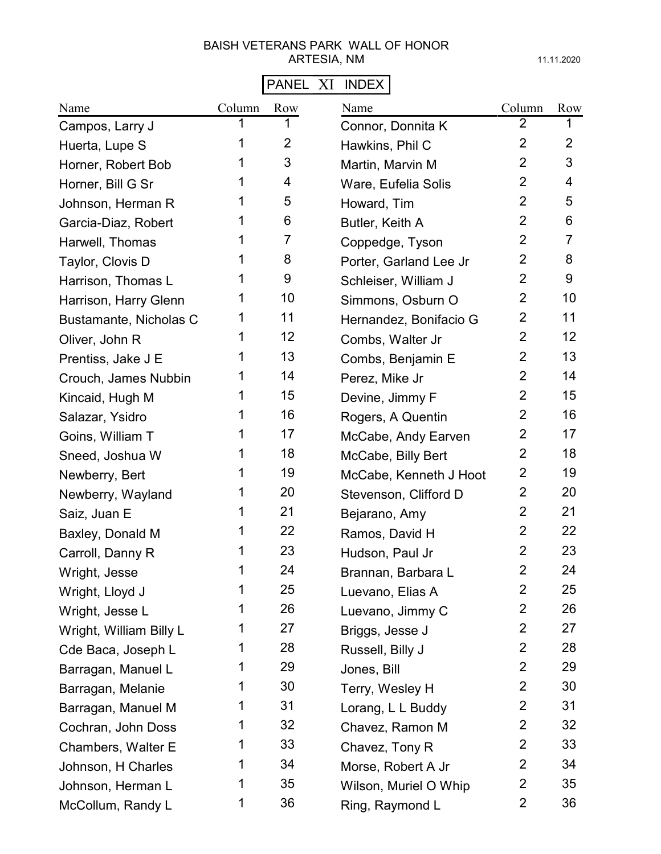# PANEL XI INDEX

| Name                    | Column | Row            | Name                   | Column         | Row            |
|-------------------------|--------|----------------|------------------------|----------------|----------------|
| Campos, Larry J         |        |                | Connor, Donnita K      | $\overline{2}$ |                |
| Huerta, Lupe S          | 1      | $\overline{2}$ | Hawkins, Phil C        | $\overline{2}$ | $\overline{2}$ |
| Horner, Robert Bob      | 1      | 3              | Martin, Marvin M       | $\overline{2}$ | 3              |
| Horner, Bill G Sr       |        | 4              | Ware, Eufelia Solis    | $\overline{2}$ | 4              |
| Johnson, Herman R       | 1      | 5              | Howard, Tim            | $\overline{2}$ | 5              |
| Garcia-Diaz, Robert     |        | 6              | Butler, Keith A        | $\overline{2}$ | 6              |
| Harwell, Thomas         |        | 7              | Coppedge, Tyson        | $\overline{2}$ | $\overline{7}$ |
| Taylor, Clovis D        |        | 8              | Porter, Garland Lee Jr | $\overline{2}$ | 8              |
| Harrison, Thomas L      | 1      | 9              | Schleiser, William J   | $\overline{2}$ | 9              |
| Harrison, Harry Glenn   | 1      | 10             | Simmons, Osburn O      | $\overline{2}$ | 10             |
| Bustamante, Nicholas C  | 1      | 11             | Hernandez, Bonifacio G | $\overline{2}$ | 11             |
| Oliver, John R          | 1      | 12             | Combs, Walter Jr       | $\overline{2}$ | 12             |
| Prentiss, Jake J E      | 1      | 13             | Combs, Benjamin E      | $\overline{2}$ | 13             |
| Crouch, James Nubbin    |        | 14             | Perez, Mike Jr         | $\overline{2}$ | 14             |
| Kincaid, Hugh M         | 1      | 15             | Devine, Jimmy F        | $\overline{2}$ | 15             |
| Salazar, Ysidro         |        | 16             | Rogers, A Quentin      | $\overline{2}$ | 16             |
| Goins, William T        | 1      | 17             | McCabe, Andy Earven    | $\overline{2}$ | 17             |
| Sneed, Joshua W         | 1      | 18             | McCabe, Billy Bert     | $\overline{2}$ | 18             |
| Newberry, Bert          | 1      | 19             | McCabe, Kenneth J Hoot | $\overline{2}$ | 19             |
| Newberry, Wayland       | 1      | 20             | Stevenson, Clifford D  | $\overline{2}$ | 20             |
| Saiz, Juan E            | 1      | 21             | Bejarano, Amy          | $\overline{2}$ | 21             |
| Baxley, Donald M        | 1      | 22             | Ramos, David H         | $\overline{2}$ | 22             |
| Carroll, Danny R        | 1      | 23             | Hudson, Paul Jr        | $\overline{2}$ | 23             |
| Wright, Jesse           | 1      | 24             | Brannan, Barbara L     | $\overline{2}$ | 24             |
| Wright, Lloyd J         | 1      | 25             | Luevano, Elias A       | $\overline{2}$ | 25             |
| Wright, Jesse L         | 1      | 26             | Luevano, Jimmy C       | $\overline{2}$ | 26             |
| Wright, William Billy L | 1      | 27             | Briggs, Jesse J        | $\overline{2}$ | 27             |
| Cde Baca, Joseph L      | 1      | 28             | Russell, Billy J       | $\overline{2}$ | 28             |
| Barragan, Manuel L      | 1      | 29             | Jones, Bill            | $\overline{2}$ | 29             |
| Barragan, Melanie       | 1      | 30             | Terry, Wesley H        | $\overline{2}$ | 30             |
| Barragan, Manuel M      | 1      | 31             | Lorang, L L Buddy      | $\overline{2}$ | 31             |
| Cochran, John Doss      | 1      | 32             | Chavez, Ramon M        | $\overline{2}$ | 32             |
| Chambers, Walter E      | 1      | 33             | Chavez, Tony R         | $\overline{2}$ | 33             |
| Johnson, H Charles      | 1      | 34             | Morse, Robert A Jr     | $\overline{2}$ | 34             |
| Johnson, Herman L       | 1      | 35             | Wilson, Muriel O Whip  | $\overline{2}$ | 35             |
| McCollum, Randy L       | 1      | 36             | Ring, Raymond L        | $\overline{2}$ | 36             |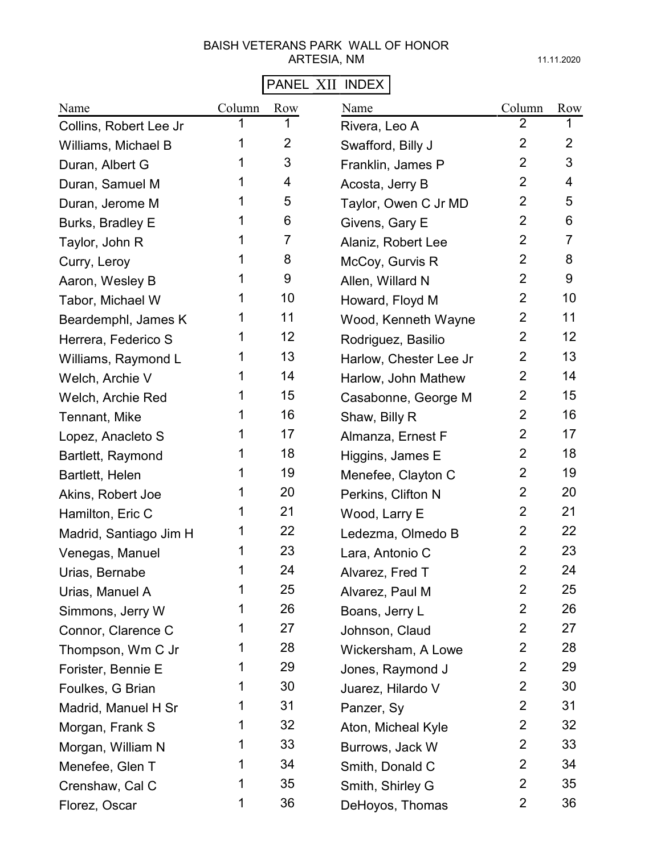# PANEL XII INDEX

| Name                   | Column | Row            | Name                   | Column         | Row            |
|------------------------|--------|----------------|------------------------|----------------|----------------|
| Collins, Robert Lee Jr |        |                | Rivera, Leo A          | 2              |                |
| Williams, Michael B    |        | $\overline{2}$ | Swafford, Billy J      | $\overline{2}$ | $\overline{2}$ |
| Duran, Albert G        | 1      | 3              | Franklin, James P      | $\overline{2}$ | 3              |
| Duran, Samuel M        | 1      | 4              | Acosta, Jerry B        | $\overline{2}$ | 4              |
| Duran, Jerome M        | 1      | 5              | Taylor, Owen C Jr MD   | $\overline{2}$ | 5              |
| Burks, Bradley E       | 1      | 6              | Givens, Gary E         | $\overline{2}$ | 6              |
| Taylor, John R         | 1      | 7              | Alaniz, Robert Lee     | $\overline{2}$ | 7              |
| Curry, Leroy           | 1      | 8              | McCoy, Gurvis R        | $\overline{2}$ | 8              |
| Aaron, Wesley B        | 1      | 9              | Allen, Willard N       | $\overline{2}$ | 9              |
| Tabor, Michael W       | 1      | 10             | Howard, Floyd M        | $\overline{2}$ | 10             |
| Beardemphl, James K    | 1      | 11             | Wood, Kenneth Wayne    | $\overline{2}$ | 11             |
| Herrera, Federico S    | 1      | 12             | Rodriguez, Basilio     | $\overline{2}$ | 12             |
| Williams, Raymond L    | 1      | 13             | Harlow, Chester Lee Jr | $\overline{2}$ | 13             |
| Welch, Archie V        | 1      | 14             | Harlow, John Mathew    | $\overline{2}$ | 14             |
| Welch, Archie Red      | 1      | 15             | Casabonne, George M    | $\overline{2}$ | 15             |
| Tennant, Mike          | 1      | 16             | Shaw, Billy R          | $\overline{2}$ | 16             |
| Lopez, Anacleto S      | 1      | 17             | Almanza, Ernest F      | $\overline{2}$ | 17             |
| Bartlett, Raymond      | 1      | 18             | Higgins, James E       | $\overline{2}$ | 18             |
| Bartlett, Helen        | 1      | 19             | Menefee, Clayton C     | $\overline{2}$ | 19             |
| Akins, Robert Joe      | 1      | 20             | Perkins, Clifton N     | $\overline{2}$ | 20             |
| Hamilton, Eric C       | 1      | 21             | Wood, Larry E          | $\overline{2}$ | 21             |
| Madrid, Santiago Jim H | 1      | 22             | Ledezma, Olmedo B      | $\overline{2}$ | 22             |
| Venegas, Manuel        | 1      | 23             | Lara, Antonio C        | $\overline{2}$ | 23             |
| Urias, Bernabe         | 1      | 24             | Alvarez, Fred T        | $\overline{2}$ | 24             |
| Urias, Manuel A        | 1      | 25             | Alvarez, Paul M        | $\overline{2}$ | 25             |
| Simmons, Jerry W       | 1      | 26             | Boans, Jerry L         | $\overline{2}$ | 26             |
| Connor, Clarence C     | 1      | 27             | Johnson, Claud         | $\overline{2}$ | 27             |
| Thompson, Wm C Jr      | 1      | 28             | Wickersham, A Lowe     | $\overline{2}$ | 28             |
| Forister, Bennie E     | 1      | 29             | Jones, Raymond J       | $\overline{2}$ | 29             |
| Foulkes, G Brian       | 1      | 30             | Juarez, Hilardo V      | $\overline{2}$ | 30             |
| Madrid, Manuel H Sr    | 1      | 31             | Panzer, Sy             | $\overline{2}$ | 31             |
| Morgan, Frank S        | 1      | 32             | Aton, Micheal Kyle     | $\overline{2}$ | 32             |
| Morgan, William N      | 1      | 33             | Burrows, Jack W        | $\overline{2}$ | 33             |
| Menefee, Glen T        | 1      | 34             | Smith, Donald C        | $\overline{2}$ | 34             |
| Crenshaw, Cal C        | 1      | 35             | Smith, Shirley G       | $\overline{2}$ | 35             |
| Florez, Oscar          | 1      | 36             | DeHoyos, Thomas        | 2              | 36             |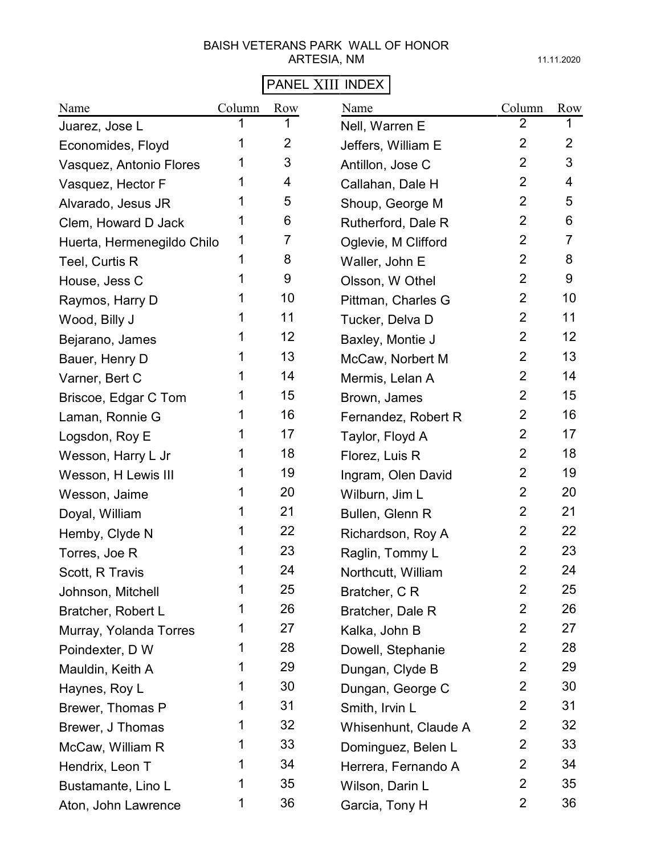# PANEL XIII INDEX

| Name                       | Column | Row            | Name                 | Column         | Row            |
|----------------------------|--------|----------------|----------------------|----------------|----------------|
| Juarez, Jose L             |        |                | Nell, Warren E       | $\overline{2}$ |                |
| Economides, Floyd          | 1      | $\overline{2}$ | Jeffers, William E   | $\overline{2}$ | $\overline{2}$ |
| Vasquez, Antonio Flores    | 1      | 3              | Antillon, Jose C     | $\overline{2}$ | 3              |
| Vasquez, Hector F          | 1      | 4              | Callahan, Dale H     | $\overline{2}$ | 4              |
| Alvarado, Jesus JR         | 1      | 5              | Shoup, George M      | $\overline{2}$ | 5              |
| Clem, Howard D Jack        | 1      | 6              | Rutherford, Dale R   | $\overline{2}$ | 6              |
| Huerta, Hermenegildo Chilo | 1      | 7              | Oglevie, M Clifford  | $\overline{2}$ | $\overline{7}$ |
| Teel, Curtis R             | 1      | 8              | Waller, John E       | $\overline{2}$ | 8              |
| House, Jess C              | 1      | 9              | Olsson, W Othel      | $\overline{2}$ | 9              |
| Raymos, Harry D            | 1      | 10             | Pittman, Charles G   | $\overline{2}$ | 10             |
| Wood, Billy J              | 1      | 11             | Tucker, Delva D      | $\overline{2}$ | 11             |
| Bejarano, James            | 1      | 12             | Baxley, Montie J     | $\overline{2}$ | 12             |
| Bauer, Henry D             | 1      | 13             | McCaw, Norbert M     | $\overline{2}$ | 13             |
| Varner, Bert C             | 1      | 14             | Mermis, Lelan A      | $\overline{2}$ | 14             |
| Briscoe, Edgar C Tom       | 1      | 15             | Brown, James         | $\overline{2}$ | 15             |
| Laman, Ronnie G            | 1      | 16             | Fernandez, Robert R  | $\overline{2}$ | 16             |
| Logsdon, Roy E             | 1      | 17             | Taylor, Floyd A      | $\overline{2}$ | 17             |
| Wesson, Harry L Jr         | 1      | 18             | Florez, Luis R       | $\overline{2}$ | 18             |
| Wesson, H Lewis III        | 1      | 19             | Ingram, Olen David   | $\overline{2}$ | 19             |
| Wesson, Jaime              | 1      | 20             | Wilburn, Jim L       | $\overline{2}$ | 20             |
| Doyal, William             | 1      | 21             | Bullen, Glenn R      | $\overline{2}$ | 21             |
| Hemby, Clyde N             | 1      | 22             | Richardson, Roy A    | $\overline{2}$ | 22             |
| Torres, Joe R              | 1      | 23             | Raglin, Tommy L      | $\overline{2}$ | 23             |
| Scott, R Travis            | 1      | 24             | Northcutt, William   | $\overline{2}$ | 24             |
| Johnson, Mitchell          | 1      | 25             | Bratcher, C R        | $\overline{2}$ | 25             |
| Bratcher, Robert L         | 1      | 26             | Bratcher, Dale R     | $\overline{2}$ | 26             |
| Murray, Yolanda Torres     | 1      | 27             | Kalka, John B        | $\overline{2}$ | 27             |
| Poindexter, D W            | 1      | 28             | Dowell, Stephanie    | $\overline{2}$ | 28             |
| Mauldin, Keith A           | 1      | 29             | Dungan, Clyde B      | $\overline{2}$ | 29             |
| Haynes, Roy L              | 1      | 30             | Dungan, George C     | $\overline{2}$ | 30             |
| Brewer, Thomas P           | 1      | 31             | Smith, Irvin L       | $\overline{2}$ | 31             |
| Brewer, J Thomas           | 1      | 32             | Whisenhunt, Claude A | $\overline{2}$ | 32             |
| McCaw, William R           | 1      | 33             | Dominguez, Belen L   | $\overline{2}$ | 33             |
| Hendrix, Leon T            | 1      | 34             | Herrera, Fernando A  | $\overline{2}$ | 34             |
| Bustamante, Lino L         | 1      | 35             | Wilson, Darin L      | $\overline{2}$ | 35             |
| Aton, John Lawrence        | 1      | 36             | Garcia, Tony H       | $\overline{2}$ | 36             |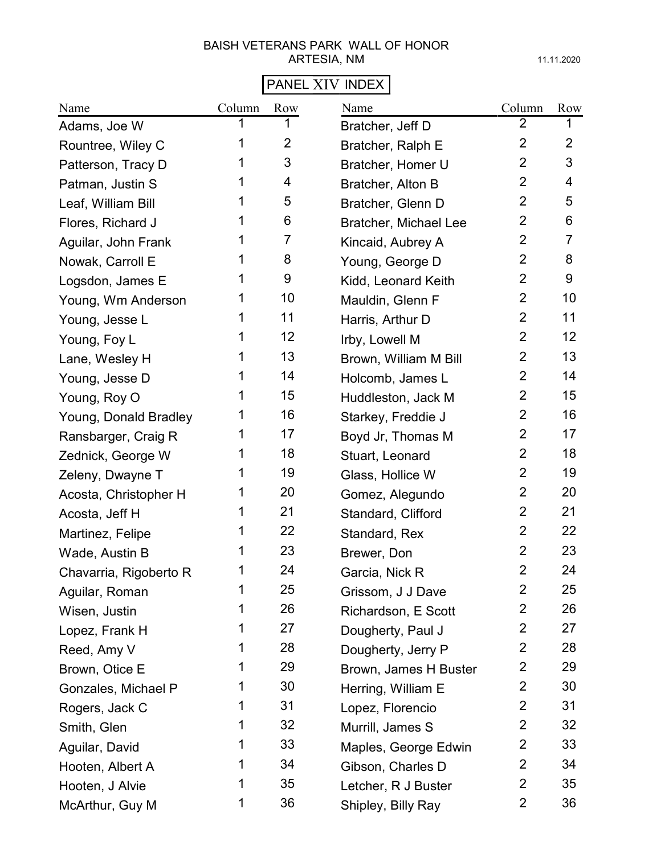# PANEL XIV INDEX

| Name                   | Column | Row            | Name                  | Column         | Row            |
|------------------------|--------|----------------|-----------------------|----------------|----------------|
| Adams, Joe W           |        |                | Bratcher, Jeff D      | $\overline{2}$ |                |
| Rountree, Wiley C      | 1      | $\overline{2}$ | Bratcher, Ralph E     | $\overline{2}$ | $\overline{2}$ |
| Patterson, Tracy D     | 1      | 3              | Bratcher, Homer U     | $\overline{2}$ | 3              |
| Patman, Justin S       | 1      | 4              | Bratcher, Alton B     | $\overline{2}$ | 4              |
| Leaf, William Bill     | 1      | 5              | Bratcher, Glenn D     | $\overline{2}$ | 5              |
| Flores, Richard J      | 1      | 6              | Bratcher, Michael Lee | $\overline{2}$ | 6              |
| Aguilar, John Frank    | 1      | $\overline{7}$ | Kincaid, Aubrey A     | $\overline{2}$ | 7              |
| Nowak, Carroll E       | 1      | 8              | Young, George D       | $\overline{2}$ | 8              |
| Logsdon, James E       | 1      | 9              | Kidd, Leonard Keith   | $\overline{2}$ | 9              |
| Young, Wm Anderson     |        | 10             | Mauldin, Glenn F      | $\overline{2}$ | 10             |
| Young, Jesse L         | 1      | 11             | Harris, Arthur D      | $\overline{2}$ | 11             |
| Young, Foy L           | 1      | 12             | Irby, Lowell M        | $\overline{2}$ | 12             |
| Lane, Wesley H         | 1      | 13             | Brown, William M Bill | $\overline{2}$ | 13             |
| Young, Jesse D         | 1      | 14             | Holcomb, James L      | $\overline{2}$ | 14             |
| Young, Roy O           | 1      | 15             | Huddleston, Jack M    | $\overline{2}$ | 15             |
| Young, Donald Bradley  | 1      | 16             | Starkey, Freddie J    | $\overline{2}$ | 16             |
| Ransbarger, Craig R    | 1      | 17             | Boyd Jr, Thomas M     | $\overline{2}$ | 17             |
| Zednick, George W      | 1      | 18             | Stuart, Leonard       | $\overline{2}$ | 18             |
| Zeleny, Dwayne T       | 1      | 19             | Glass, Hollice W      | $\overline{2}$ | 19             |
| Acosta, Christopher H  | 1      | 20             | Gomez, Alegundo       | $\overline{2}$ | 20             |
| Acosta, Jeff H         | 1      | 21             | Standard, Clifford    | $\overline{2}$ | 21             |
| Martinez, Felipe       | 1      | 22             | Standard, Rex         | $\overline{2}$ | 22             |
| Wade, Austin B         | 1      | 23             | Brewer, Don           | $\overline{2}$ | 23             |
| Chavarria, Rigoberto R | 1      | 24             | Garcia, Nick R        | $\mathbf 2$    | 24             |
| Aguilar, Roman         | 1      | 25             | Grissom, J J Dave     | $\overline{2}$ | 25             |
| Wisen, Justin          | 1      | 26             | Richardson, E Scott   | $\overline{2}$ | 26             |
| Lopez, Frank H         | 1      | 27             | Dougherty, Paul J     | $\overline{2}$ | 27             |
| Reed, Amy V            | 1      | 28             | Dougherty, Jerry P    | $\overline{2}$ | 28             |
| Brown, Otice E         | 1      | 29             | Brown, James H Buster | $\overline{2}$ | 29             |
| Gonzales, Michael P    | 1      | 30             | Herring, William E    | $\overline{2}$ | 30             |
| Rogers, Jack C         | 1      | 31             | Lopez, Florencio      | $\overline{2}$ | 31             |
| Smith, Glen            | 1      | 32             | Murrill, James S      | $\overline{2}$ | 32             |
| Aguilar, David         | 1      | 33             | Maples, George Edwin  | $\overline{2}$ | 33             |
| Hooten, Albert A       | 1      | 34             | Gibson, Charles D     | $\overline{2}$ | 34             |
| Hooten, J Alvie        | 1      | 35             | Letcher, R J Buster   | $\overline{2}$ | 35             |
| McArthur, Guy M        | 1      | 36             | Shipley, Billy Ray    | $\overline{2}$ | 36             |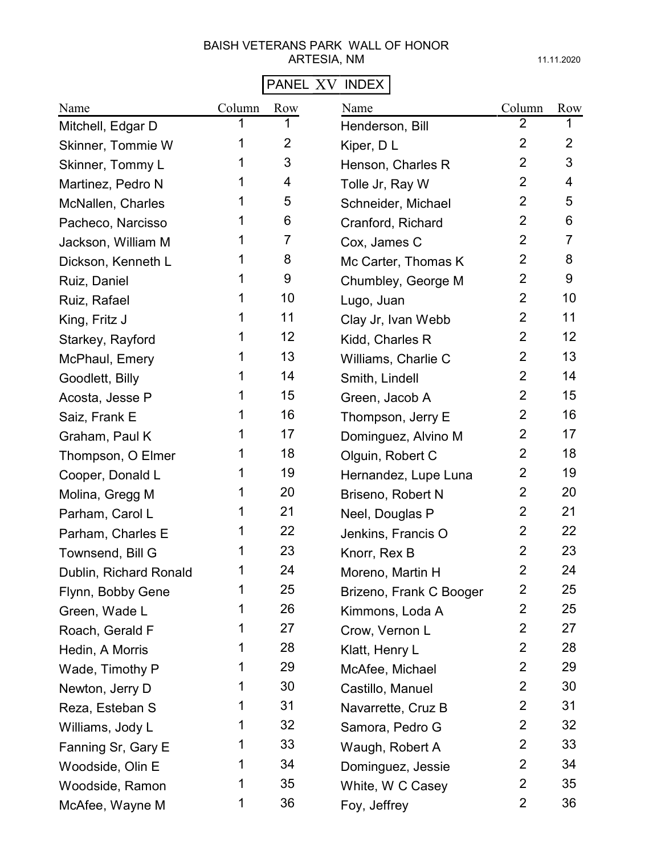# PANEL XV INDEX

| Name                   | Column | Row            | Name                    | Column         | Row            |
|------------------------|--------|----------------|-------------------------|----------------|----------------|
| Mitchell, Edgar D      |        |                | Henderson, Bill         | 2              | 1              |
| Skinner, Tommie W      |        | $\overline{2}$ | Kiper, DL               | $\overline{2}$ | $\overline{2}$ |
| Skinner, Tommy L       | 1      | 3              | Henson, Charles R       | $\overline{2}$ | 3              |
| Martinez, Pedro N      | 1      | 4              | Tolle Jr, Ray W         | $\overline{2}$ | 4              |
| McNallen, Charles      | 1      | 5              | Schneider, Michael      | $\overline{2}$ | 5              |
| Pacheco, Narcisso      | 1      | 6              | Cranford, Richard       | $\overline{2}$ | 6              |
| Jackson, William M     | 1      | 7              | Cox, James C            | $\overline{2}$ | 7              |
| Dickson, Kenneth L     | 1      | 8              | Mc Carter, Thomas K     | $\overline{2}$ | 8              |
| Ruiz, Daniel           | 1      | 9              | Chumbley, George M      | $\overline{2}$ | 9              |
| Ruiz, Rafael           |        | 10             | Lugo, Juan              | $\overline{2}$ | 10             |
| King, Fritz J          |        | 11             | Clay Jr, Ivan Webb      | $\overline{2}$ | 11             |
| Starkey, Rayford       |        | 12             | Kidd, Charles R         | $\overline{2}$ | 12             |
| McPhaul, Emery         |        | 13             | Williams, Charlie C     | $\overline{2}$ | 13             |
| Goodlett, Billy        |        | 14             | Smith, Lindell          | $\overline{2}$ | 14             |
| Acosta, Jesse P        | 1      | 15             | Green, Jacob A          | $\overline{2}$ | 15             |
| Saiz, Frank E          | 1      | 16             | Thompson, Jerry E       | $\overline{2}$ | 16             |
| Graham, Paul K         | 1      | 17             | Dominguez, Alvino M     | $\overline{2}$ | 17             |
| Thompson, O Elmer      | 1      | 18             | Olguin, Robert C        | $\overline{2}$ | 18             |
| Cooper, Donald L       | 1      | 19             | Hernandez, Lupe Luna    | $\overline{2}$ | 19             |
| Molina, Gregg M        | 1      | 20             | Briseno, Robert N       | $\overline{2}$ | 20             |
| Parham, Carol L        | 1      | 21             | Neel, Douglas P         | $\overline{2}$ | 21             |
| Parham, Charles E      |        | 22             | Jenkins, Francis O      | $\overline{2}$ | 22             |
| Townsend, Bill G       |        | 23             | Knorr, Rex B            | $\overline{2}$ | 23             |
| Dublin, Richard Ronald | 1      | 24             | Moreno, Martin H        | $\overline{2}$ | 24             |
| Flynn, Bobby Gene      | 1      | 25             | Brizeno, Frank C Booger | 2              | 25             |
| Green, Wade L          | 1      | 26             | Kimmons, Loda A         | $\overline{2}$ | 25             |
| Roach, Gerald F        | 1      | 27             | Crow, Vernon L          | $\overline{2}$ | 27             |
| Hedin, A Morris        | 1      | 28             | Klatt, Henry L          | $\overline{2}$ | 28             |
| Wade, Timothy P        | 1      | 29             | McAfee, Michael         | $\overline{2}$ | 29             |
| Newton, Jerry D        | 1      | 30             | Castillo, Manuel        | $\overline{2}$ | 30             |
| Reza, Esteban S        | 1      | 31             | Navarrette, Cruz B      | $\overline{2}$ | 31             |
| Williams, Jody L       | 1      | 32             | Samora, Pedro G         | $\overline{2}$ | 32             |
| Fanning Sr, Gary E     | 1      | 33             | Waugh, Robert A         | $\overline{2}$ | 33             |
| Woodside, Olin E       | 1      | 34             | Dominguez, Jessie       | $\overline{2}$ | 34             |
| Woodside, Ramon        | 1      | 35             | White, W C Casey        | $\overline{2}$ | 35             |
| McAfee, Wayne M        | 1      | 36             | Foy, Jeffrey            | $\overline{2}$ | 36             |